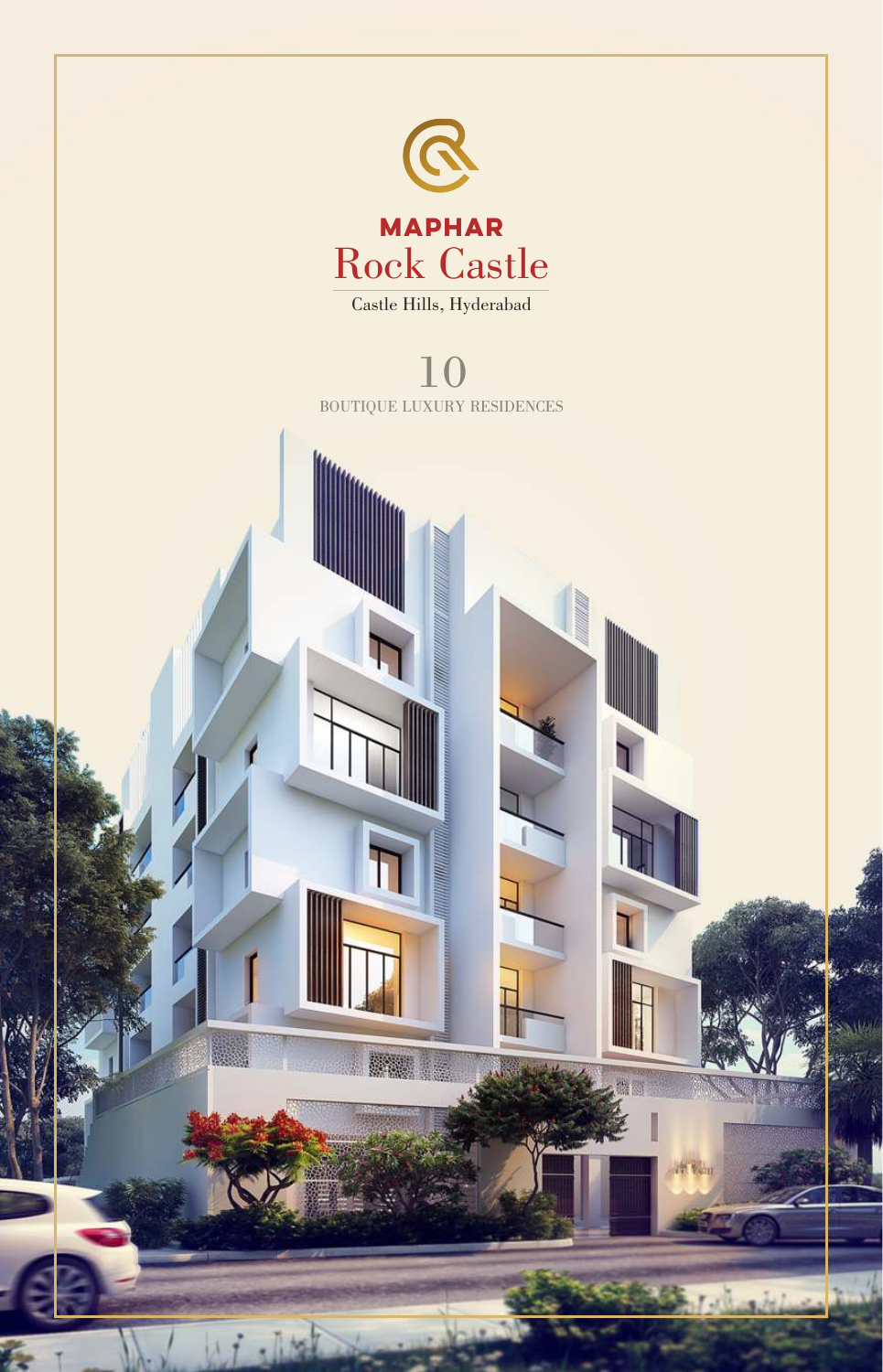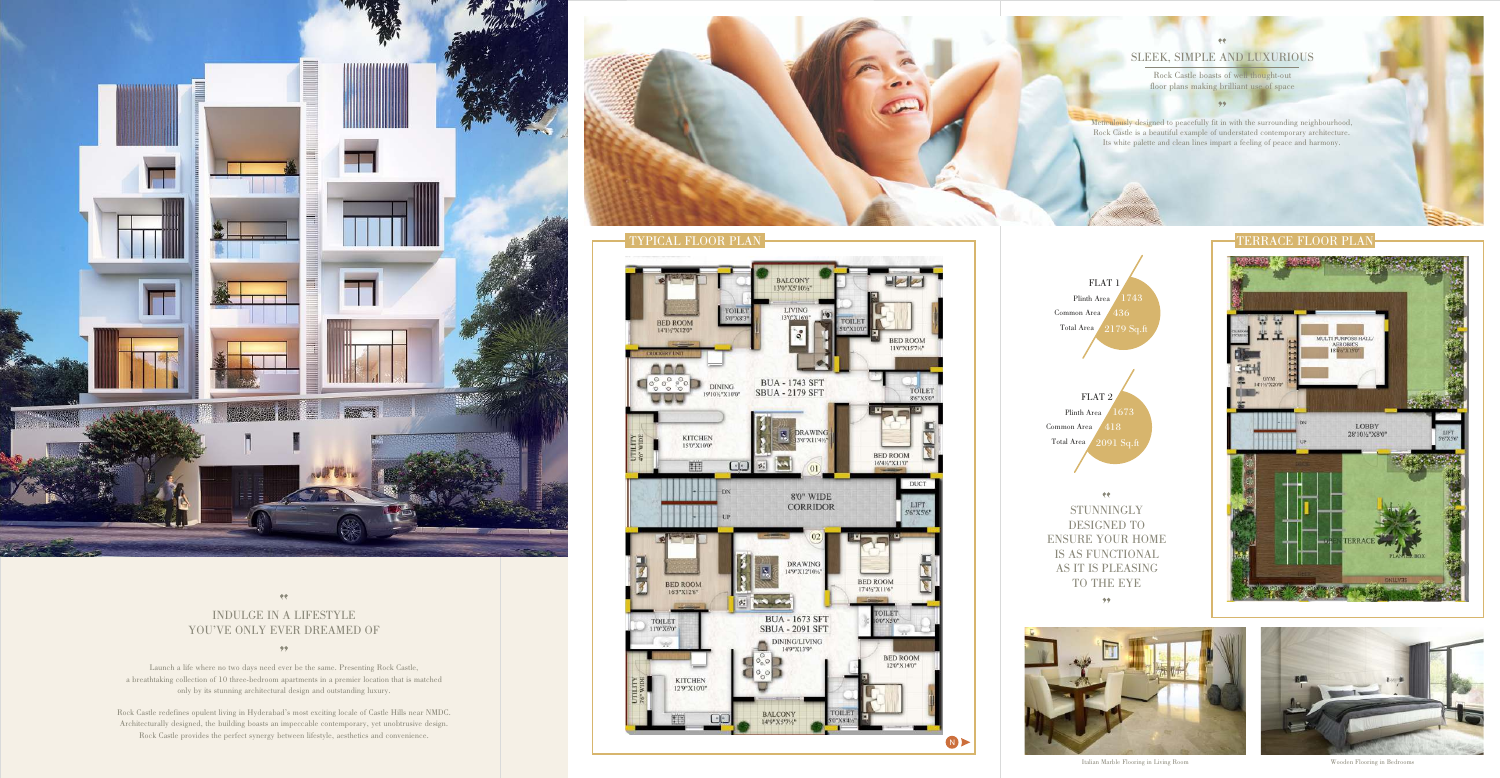Launch a life where no two days need ever be the same. Presenting Rock Castle, a breathtaking collection of 10 three-bedroom apartments in a premier location that is matched only by its stunning architectural design and outstanding luxury.

 $99<sup>°</sup>$ 

Rock Castle redefines opulent living in Hyderabad's most exciting locale of Castle Hills near NMDC. Architecturally designed, the building boasts an impeccable contemporary, yet unobtrusive design. Rock Castle provides the perfect synergy between lifestyle, aesthetics and convenience.

Meticulously designed to peacefully fit in with the surrounding neighbourhood, Rock Castle is a beautiful example of understated contemporary architecture. Its white palette and clean lines impart a feeling of peace and harmony.



# SLEEK, SIMPLE AND LUXURIOUS

Rock Castle boasts of well thought-out









# $\pmb{\psi}$ INDULGE IN A LIFESTYLE YOU'VE ONLY EVER DREAMED OF



 $\langle \rangle$ **STUNNINGLY** DESIGNED TO ENSURE YOUR HOME IS AS FUNCTIONAL AS IT IS PLEASING TO THE EYE  $99<sup>°</sup>$ 



Italian Marble Flooring in Living Room Wooden Flooring in Bedrooms